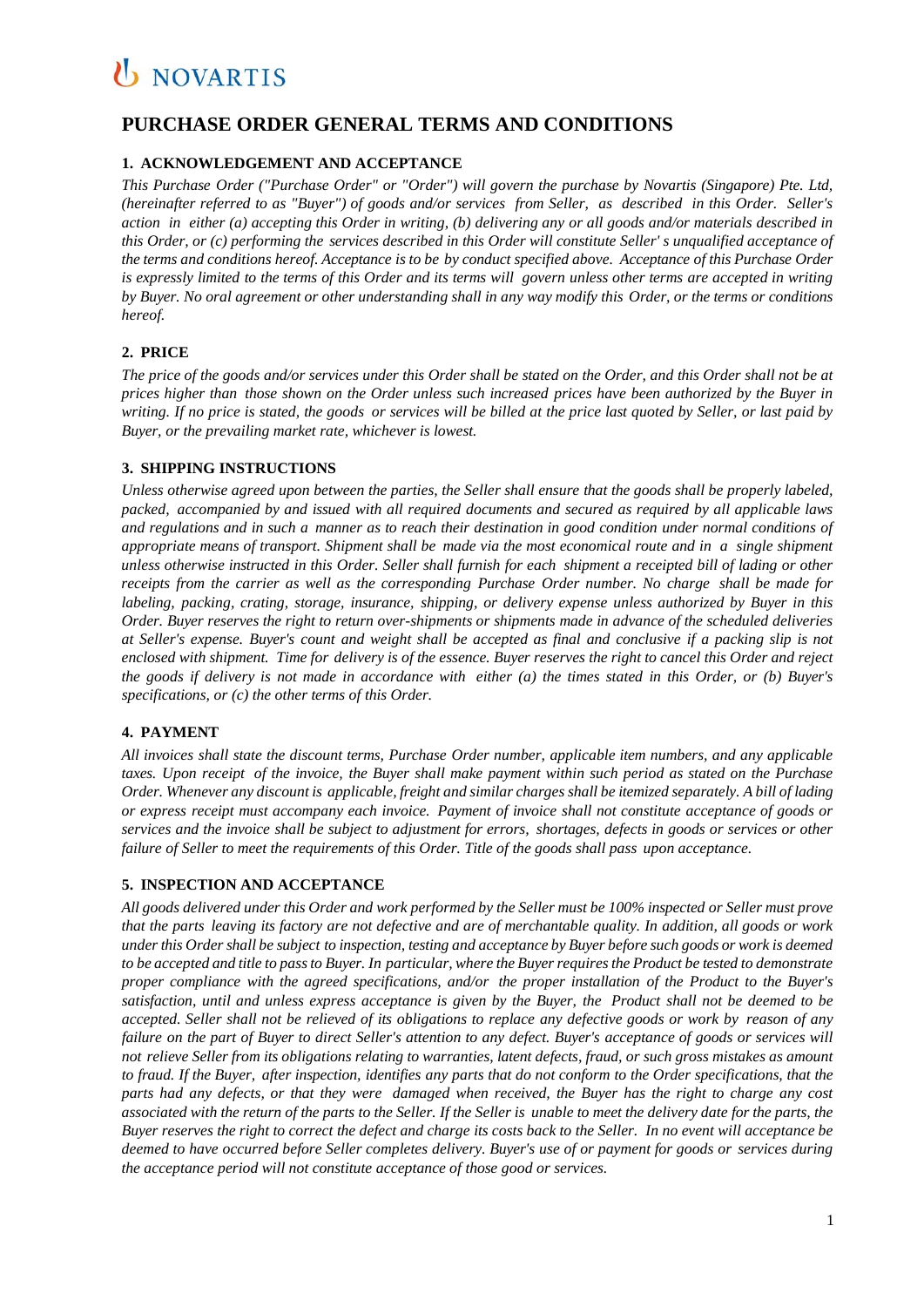### **PURCHASE ORDER GENERAL TERMS AND CONDITIONS**

### **1. ACKNOWLEDGEMENT AND ACCEPTANCE**

*This Purchase Order ("Purchase Order" or "Order") will govern the purchase by Novartis (Singapore) Pte. Ltd,* (hereinafter referred to as "Buyer") of goods and/or services from Seller, as described in this Order. Seller's *action in either (a) accepting this Order in writing, (b) delivering any or all goods and/or materials described in* this Order, or (c) performing the services described in this Order will constitute Seller's unqualified acceptance of the terms and conditions hereof. Acceptance is to be by conduct specified above. Acceptance of this Purchase Order is expressly limited to the terms of this Order and its terms will govern unless other terms are accepted in writing by Buyer. No oral agreement or other understanding shall in any way modify this Order, or the terms or conditions *hereof.*

### **2. PRICE**

The price of the goods and/or services under this Order shall be stated on the Order, and this Order shall not be at prices higher than those shown on the Order unless such increased prices have been authorized by the Buyer in writing. If no price is stated, the goods or services will be billed at the price last quoted by Seller, or last paid by *Buyer, or the prevailing market rate, whichever is lowest.*

### **3. SHIPPING INSTRUCTIONS**

Unless otherwise agreed upon between the parties, the Seller shall ensure that the goods shall be properly labeled, *packed, accompanied by and issued with all required documents and secured as required by all applicable laws and regulations and in such a manner as to reach their destination in good condition under normal conditions of* appropriate means of transport. Shipment shall be made via the most economical route and in a single shipment unless otherwise instructed in this Order. Seller shall furnish for each shipment a receipted bill of lading or other *receipts from the carrier as well as the corresponding Purchase Order number. No charge shall be made for labeling, packing, crating, storage, insurance, shipping, or delivery expense unless authorized by Buyer in this* Order. Buyer reserves the right to return over-shipments or shipments made in advance of the scheduled deliveries *at Seller's expense. Buyer's count and weight shall be accepted as final and conclusive if a packing slip is not* enclosed with shipment. Time for delivery is of the essence. Buyer reserves the right to cancel this Order and reject the goods if delivery is not made in accordance with either  $(a)$  the times stated in this Order, or  $(b)$  Buyer's *specifications, or (c) the other terms of this Order.*

### **4. PAYMENT**

*All invoices shall state the discount terms, Purchase Order number, applicable item numbers, and any applicable* taxes. Upon receipt of the invoice, the Buyer shall make payment within such period as stated on the Purchase Order. Whenever any discount is applicable, freight and similar charges shall be itemized separately. A bill of lading *or express receipt must accompany each invoice. Payment of invoice shall not constitute acceptance of goods or* services and the invoice shall be subject to adjustment for errors, shortages, defects in goods or services or other *failure of Seller to meet the requirements of this Order. Title of the goods shall pass upon acceptance.*

### **5. INSPECTION AND ACCEPTANCE**

All goods delivered under this Order and work performed by the Seller must be 100% inspected or Seller must prove that the parts leaving its factory are not defective and are of merchantable quality. In addition, all goods or work under this Order shall be subject to inspection, testing and acceptance by Buyer before such goods or work is deemed to be accepted and title to pass to Buyer. In particular, where the Buyer requires the Product be tested to demonstrate *proper compliance with the agreed specifications, and/or the proper installation of the Product to the Buyer's* satisfaction, until and unless express acceptance is given by the Buyer, the Product shall not be deemed to be accepted. Seller shall not be relieved of its obligations to replace any defective goods or work by reason of any failure on the part of Buyer to direct Seller's attention to any defect. Buyer's acceptance of goods or services will not relieve Seller from its obligations relating to warranties, latent defects, fraud, or such gross mistakes as amount to fraud. If the Buyer, after inspection, identifies any parts that do not conform to the Order specifications, that the parts had any defects, or that they were damaged when received, the Buyer has the right to charge any cost associated with the return of the parts to the Seller. If the Seller is unable to meet the delivery date for the parts, the Buyer reserves the right to correct the defect and charge its costs back to the Seller. In no event will acceptance be deemed to have occurred before Seller completes delivery. Buyer's use of or payment for goods or services during *the acceptance period will not constitute acceptance of those good or services.*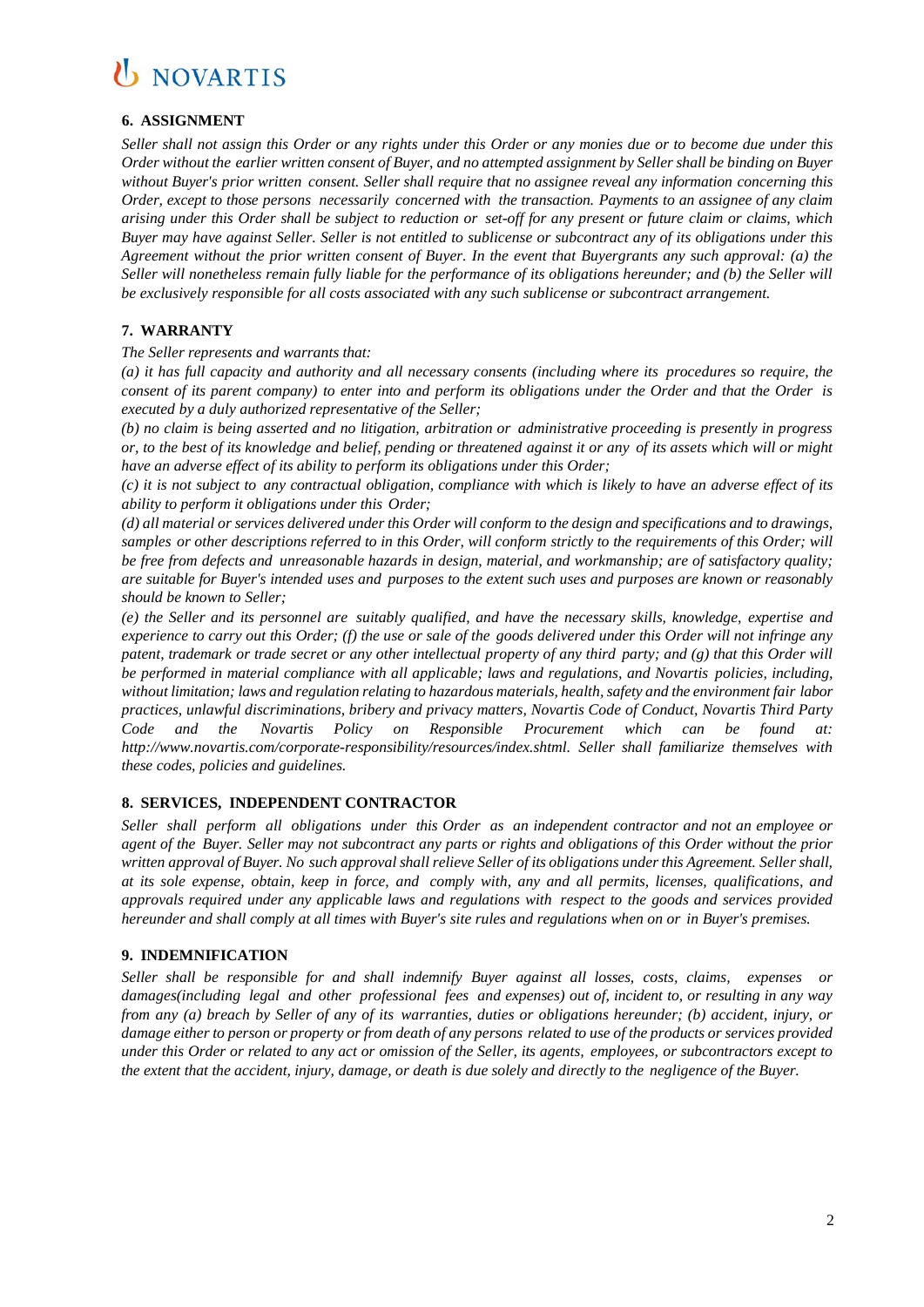### **6. ASSIGNMENT**

Seller shall not assign this Order or any rights under this Order or any monies due or to become due under this Order without the earlier written consent of Buyer, and no attempted assignment by Seller shall be binding on Buyer *without Buyer's prior written consent. Seller shall require that no assignee reveal any information concerning this Order, except to those persons necessarily concerned with the transaction. Payments to an assignee of any claim* arising under this Order shall be subject to reduction or set-off for any present or future claim or claims, which *Buyer may have against Seller. Seller is not entitled to sublicense or subcontract any of its obligations under this Agreement without the prior written consent of Buyer. In the event that Buyergrants any such approval: (a) the Seller will nonetheless remain fully liable for the performance of its obligations hereunder; and (b) the Seller will be exclusively responsible for all costs associated with any such sublicense or subcontract arrangement.*

### **7. WARRANTY**

### *The Seller represents and warrants that:*

*(a) it has full capacity and authority and all necessary consents (including where its procedures so require, the* consent of its parent company) to enter into and perform its obligations under the Order and that the Order is *executed by a duly authorized representative of the Seller;*

*(b) no claim is being asserted and no litigation, arbitration or administrative proceeding is presently in progress* or, to the best of its knowledge and belief, pending or threatened against it or any of its assets which will or might *have an adverse effect of its ability to perform its obligations under this Order;*

(c) it is not subject to any contractual obligation, compliance with which is likely to have an adverse effect of its *ability to perform it obligations under this Order;*

(d) all material or services delivered under this Order will conform to the design and specifications and to drawings, samples or other descriptions referred to in this Order, will conform strictly to the requirements of this Order; will *be free from defects and unreasonable hazards in design, material, and workmanship; are of satisfactory quality;* are suitable for Buyer's intended uses and purposes to the extent such uses and purposes are known or reasonably *should be known to Seller;*

*(e) the Seller and its personnel are suitably qualified, and have the necessary skills, knowledge, expertise and*  experience to carry out this Order; (f) the use or sale of the goods delivered under this Order will not infringe any patent, trademark or trade secret or any other intellectual property of any third party; and  $(g)$  that this Order will *be performed in material compliance with all applicable; laws and regulations, and Novartis policies, including, without limitation; laws and regulation relating to hazardous materials, health,safety and the environment fair labor practices, unlawful discriminations, bribery and privacy matters, Novartis Code of Conduct, Novartis Third Party Code and the Novartis Policy on Responsible Procurement which can be found at: [http://www.novartis.com/c](http://www.novartis.com/)orporate-responsibility/resources/index.shtml. Seller shall familiarize themselves with these codes, policies and guidelines.*

### **8. SERVICES, INDEPENDENT CONTRACTOR**

*Seller shall perform all obligations under this Order as an independent contractor and not an employee or* agent of the Buyer. Seller may not subcontract any parts or rights and obligations of this Order without the prior written approval of Buyer. No such approval shall relieve Seller of its obligations under this Agreement. Seller shall, at its sole expense, obtain, keep in force, and comply with, any and all permits, licenses, qualifications, and *approvals required under any applicable laws and regulations with respect to the goods and services provided hereunder and shall comply at all times with Buyer's site rules and regulations when on or in Buyer's premises.*

### **9. INDEMNIFICATION**

*Seller shall be responsible for and shall indemnify Buyer against all losses, costs, claims, expenses or damages(including legal and other professional fees and expenses) out of, incident to, or resulting in any way* from any (a) breach by Seller of any of its warranties, duties or obligations hereunder; (b) accident, injury, or damage either to person or property or from death of any persons related to use of the products or services provided under this Order or related to any act or omission of the Seller, its agents, employees, or subcontractors except to the extent that the accident, injury, damage, or death is due solely and directly to the negligence of the Buyer.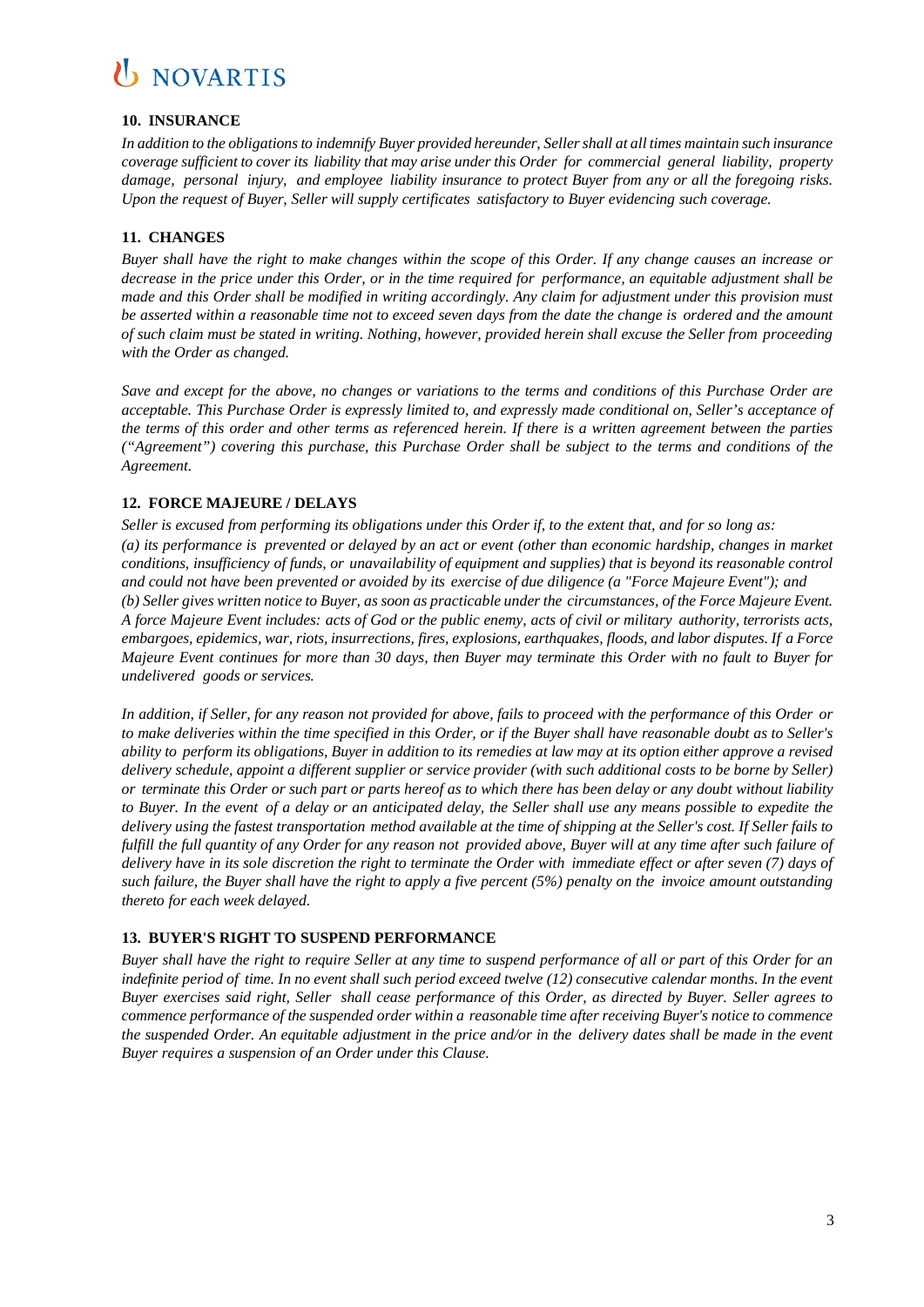### **10. INSURANCE**

*In addition to the obligationsto indemnify Buyer provided hereunder, Sellershall at all times maintain such insurance* coverage sufficient to cover its liability that may arise under this Order for commercial general liability, property *damage, personal injury, and employee liability insurance to protect Buyer from any or all the foregoing risks. Upon the request of Buyer, Seller will supply certificates satisfactory to Buyer evidencing such coverage.*

### **11. CHANGES**

Buyer shall have the right to make changes within the scope of this Order. If any change causes an increase or decrease in the price under this Order, or in the time required for performance, an equitable adjustment shall be *made and this Order shall be modified in writing accordingly. Any claim for adjustment under this provision must* be asserted within a reasonable time not to exceed seven days from the date the change is ordered and the amount of such claim must be stated in writing. Nothing, however, provided herein shall excuse the Seller from proceeding *with the Order as changed.*

*Save and except for the above, no changes or variations to the terms and conditions of this Purchase Order are acceptable. This Purchase Order is expressly limited to, and expressly made conditional on, Seller's acceptance of the terms of this order and other terms as referenced herein. If there is a written agreement between the parties ("Agreement") covering this purchase, this Purchase Order shall be subject to the terms and conditions of the Agreement.* 

### **12. FORCE MAJEURE / DELAYS**

Seller is excused from performing its obligations under this Order if, to the extent that, and for so long as: (a) its performance is prevented or delayed by an act or event (other than economic hardship, changes in market *conditions, insufficiency of funds, or unavailability of equipment and supplies) that is beyond its reasonable control* and could not have been prevented or avoided by its exercise of due diligence (a "Force Majeure Event"); and (b) Seller gives written notice to Buyer, as soon as practicable under the circumstances, of the Force Majeure Event. A force Majeure Event includes: acts of God or the public enemy, acts of civil or military authority, terrorists acts, *embargoes, epidemics, war, riots, insurrections, fires, explosions, earthquakes, floods, and labor disputes. If a Force* Majeure Event continues for more than 30 days, then Buyer may terminate this Order with no fault to Buyer for *undelivered goods or services.*

In addition, if Seller, for any reason not provided for above, fails to proceed with the performance of this Order or to make deliveries within the time specified in this Order, or if the Buyer shall have reasonable doubt as to Seller's ability to perform its obligations, Buyer in addition to its remedies at law may at its option either approve a revised *delivery schedule, appoint a different supplier or service provider (with such additional costs to be borne by Seller)* or terminate this Order or such part or parts hereof as to which there has been delay or any doubt without liability to Buyer. In the event of a delay or an anticipated delay, the Seller shall use any means possible to expedite the delivery using the fastest transportation method available at the time of shipping at the Seller's cost. If Seller fails to fulfill the full quantity of any Order for any reason not provided above, Buyer will at any time after such failure of delivery have in its sole discretion the right to terminate the Order with immediate effect or after seven (7) days of such failure, the Buyer shall have the right to apply a five percent  $(5%)$  penalty on the invoice amount outstanding *thereto for each week delayed.*

### **13. BUYER'S RIGHT TO SUSPEND PERFORMANCE**

Buyer shall have the right to require Seller at any time to suspend performance of all or part of this Order for an *indefinite period of time. In no event shall such period exceed twelve (12) consecutive calendar months. In the event* Buyer exercises said right. Seller shall cease performance of this Order, as directed by Buyer. Seller agrees to *commence performance of the suspended order within a reasonable time after receiving Buyer's notice to commence* the suspended Order. An equitable adjustment in the price and/or in the delivery dates shall be made in the event *Buyer requires a suspension of an Order under this Clause.*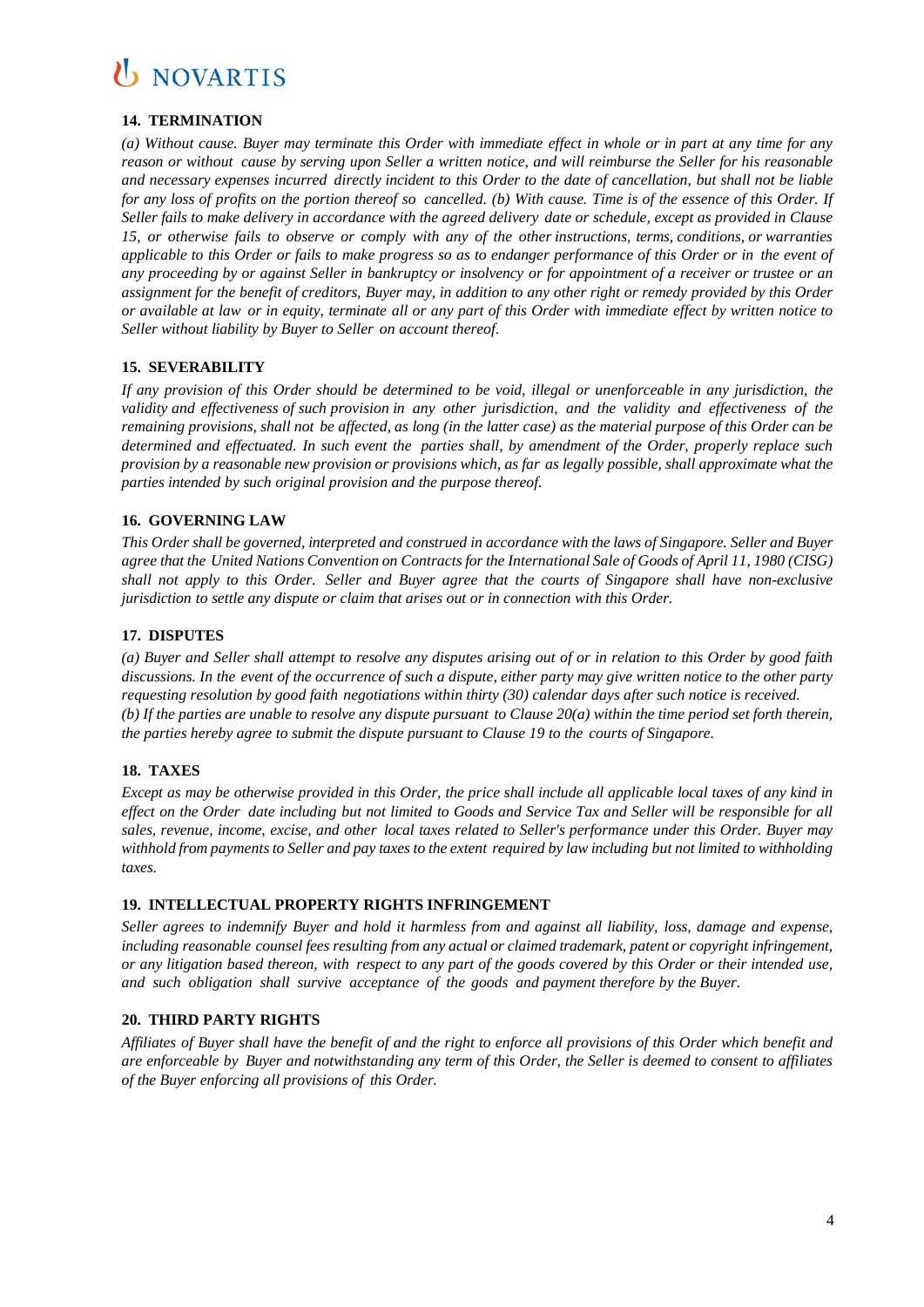### **14. TERMINATION**

(a) Without cause. Buyer may terminate this Order with immediate effect in whole or in part at any time for any reason or without cause by serving upon Seller a written notice, and will reimburse the Seller for his reasonable and necessary expenses incurred directly incident to this Order to the date of cancellation, but shall not be liable for any loss of profits on the portion thereof so cancelled. (b) With cause. Time is of the essence of this Order. If Seller fails to make delivery in accordance with the agreed delivery date or schedule, except as provided in Clause *15, or otherwise fails to observe or comply with any of the other instructions, terms, conditions, or warranties* applicable to this Order or fails to make progress so as to endanger performance of this Order or in the event of any proceeding by or against Seller in bankruptcy or insolvency or for appointment of a receiver or trustee or an assignment for the benefit of creditors, Buyer may, in addition to any other right or remedy provided by this Order or available at law or in equity, terminate all or any part of this Order with immediate effect by written notice to *Seller without liability by Buyer to Seller on account thereof*.

### **15. SEVERABILITY**

If any provision of this Order should be determined to be void, illegal or unenforceable in any jurisdiction, the *validity and effectiveness of such provision in any other jurisdiction, and the validity and effectiveness of the* remaining provisions, shall not be affected, as long (in the latter case) as the material purpose of this Order can be *determined and effectuated. In such event the parties shall, by amendment of the Order, properly replace such* provision by a reasonable new provision or provisions which, as far as legally possible, shall approximate what the *parties intended by such original provision and the purpose thereof.*

### **16. GOVERNING LAW**

This Order shall be governed, interpreted and construed in accordance with the laws of Singapore. Seller and Buyer agree that the United Nations Convention on Contracts for the International Sale of Goods of April 11, 1980 (CISG) shall not apply to this Order. Seller and Buyer agree that the courts of Singapore shall have non-exclusive *jurisdiction to settle any dispute or claim that arises out or in connection with this Order.*

### **17. DISPUTES**

(a) Buyer and Seller shall attempt to resolve any disputes arising out of or in relation to this Order by good faith discussions. In the event of the occurrence of such a dispute, either party may give written notice to the other party *requesting resolution by good faith negotiations within thirty (30) calendar days after such notice is received.* (b) If the parties are unable to resolve any dispute pursuant to Clause  $20(a)$  within the time period set forth therein. *the parties hereby agree to submit the dispute pursuant to Clause 19 to the courts of Singapore.*

### **18. TAXES**

Except as may be otherwise provided in this Order, the price shall include all applicable local taxes of any kind in effect on the Order date including but not limited to Goods and Service Tax and Seller will be responsible for all sales, revenue, income, excise, and other local taxes related to Seller's performance under this Order. Buyer may withhold from payments to Seller and pay taxes to the extent required by law including but not limited to withholding *taxes.*

### **19. INTELLECTUAL PROPERTY RIGHTS INFRINGEMENT**

*Seller agrees to indemnify Buyer and hold it harmless from and against all liability, loss, damage and expense, including reasonable counsel fees resulting from any actual or claimed trademark, patent or copyright infringement,* or any litigation based thereon, with respect to any part of the goods covered by this Order or their intended use, *and such obligation shall survive acceptance of the goods and payment therefore by the Buyer.*

### **20. THIRD PARTY RIGHTS**

Affiliates of Buyer shall have the benefit of and the right to enforce all provisions of this Order which benefit and are enforceable by Buyer and notwithstanding any term of this Order, the Seller is deemed to consent to affiliates *of the Buyer enforcing all provisions of this Order.*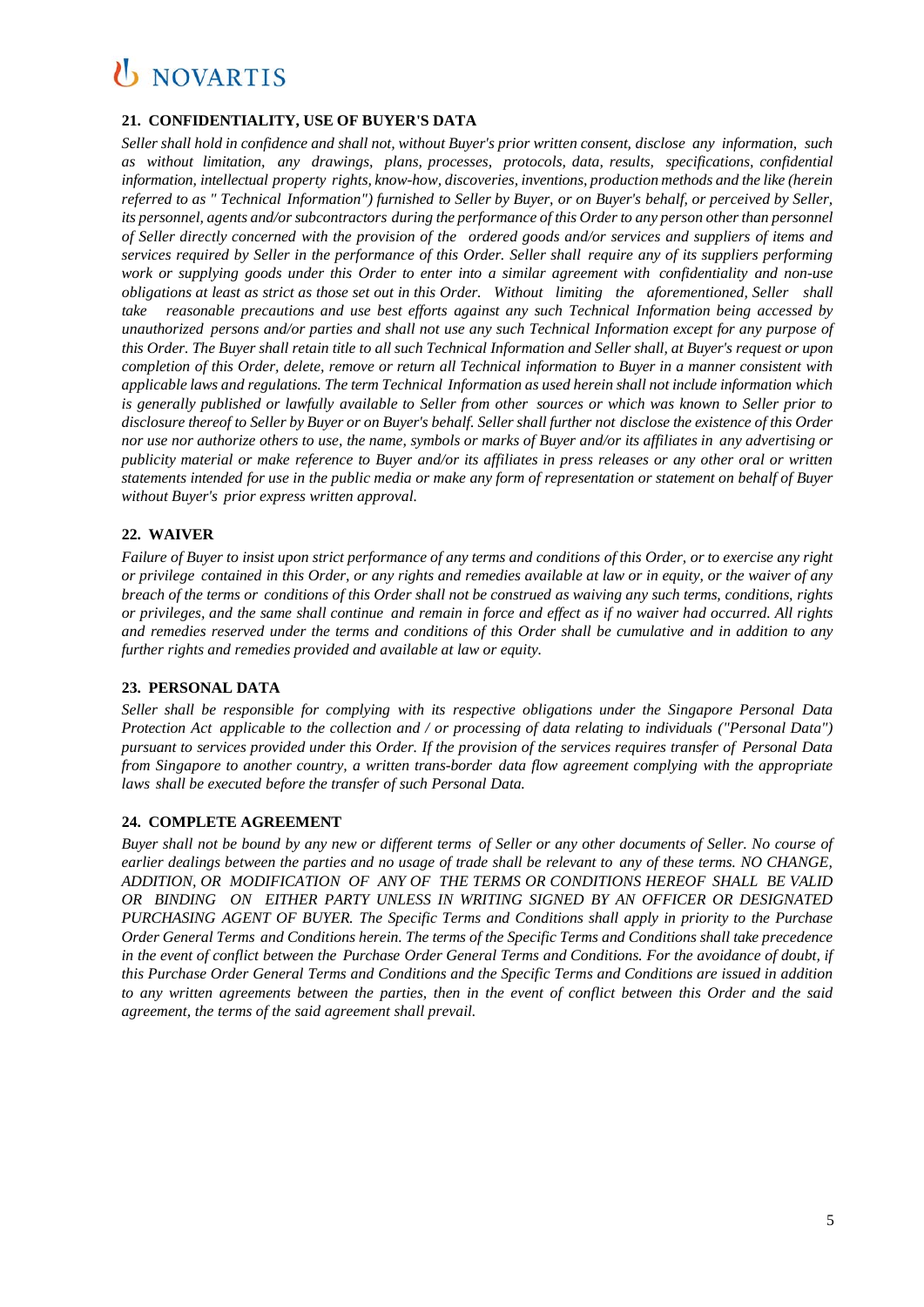### **21. CONFIDENTIALITY, USE OF BUYER'S DATA**

Seller shall hold in confidence and shall not, without Buyer's prior written consent, disclose any information, such *as without limitation, any drawings, plans, processes, protocols, data, results, specifications, confidential information, intellectual property rights, know-how, discoveries, inventions, production methods and the like (herein* referred to as " Technical Information") furnished to Seller by Buyer, or on Buyer's behalf, or perceived by Seller, its personnel, agents and/or subcontractors during the performance of this Order to any person other than personnel *of Seller directly concerned with the provision of the ordered goods and/or services and suppliers of items and*  services required by Seller in the performance of this Order. Seller shall require any of its suppliers performing *work or supplying goods under this Order to enter into a similar agreement with confidentiality and non-use obligations at least as strict as those set out in this Order. Without limiting the aforementioned, Seller shall take reasonable precautions and use best efforts against any such Technical Information being accessed by unauthorized persons and/or parties and shall not use any such Technical Information except for any purpose of* this Order. The Buyer shall retain title to all such Technical Information and Seller shall, at Buyer's request or upon completion of this Order, delete, remove or return all Technical information to Buver in a manner consistent with *applicable laws and regulations. The term Technical Information as used herein shall not include information which* is generally published or lawfully available to Seller from other sources or which was known to Seller prior to disclosure thereof to Seller by Buyer or on Buyer's behalf. Seller shall further not disclose the existence of this Order nor use nor authorize others to use, the name, symbols or marks of Buyer and/or its affiliates in any advertising or publicity material or make reference to Buyer and/or its affiliates in press releases or any other oral or written statements intended for use in the public media or make any form of representation or statement on behalf of Buyer *without Buyer's prior express written approval.*

### **22. WAIVER**

Failure of Buyer to insist upon strict performance of any terms and conditions of this Order, or to exercise any right or privilege contained in this Order, or any rights and remedies available at law or in equity, or the waiver of any breach of the terms or conditions of this Order shall not be construed as waiving any such terms, conditions, rights *or privileges, and the same shall continue and remain in force and effect as if no waiver had occurred. All rights and remedies reserved under the terms and conditions of this Order shall be cumulative and in addition to any further rights and remedies provided and available at law or equity.*

### **23. PERSONAL DATA**

*Seller shall be responsible for complying with its respective obligations under the Singapore Personal Data Protection Act applicable to the collection and / or processing of data relating to individuals ("Personal Data") pursuant to services provided under this Order. If the provision of the services requires transfer of Personal Data from Singapore to another country, a written trans-border data flow agreement complying with the appropriate laws shall be executed before the transfer of such Personal Data.*

### **24. COMPLETE AGREEMENT**

Buyer shall not be bound by any new or different terms of Seller or any other documents of Seller. No course of earlier dealings between the parties and no usage of trade shall be relevant to any of these terms. NO CHANGE. *ADDITION, OR MODIFICATION OF ANY OF THE TERMS OR CONDITIONS HEREOF SHALL BE VALID OR BINDING ON EITHER PARTY UNLESS IN WRITING SIGNED BY AN OFFICER OR DESIGNATED PURCHASING AGENT OF BUYER. The Specific Terms and Conditions shall apply in priority to the Purchase Order General Terms and Conditions herein. The terms of the Specific Terms and Conditions shall take precedence in the event of conflict between the Purchase Order General Terms and Conditions. For the avoidance of doubt, if this Purchase Order General Terms and Conditions and the Specific Terms and Conditions are issued in addition to any written agreements between the parties, then in the event of conflict between this Order and the said agreement, the terms of the said agreement shall prevail.*